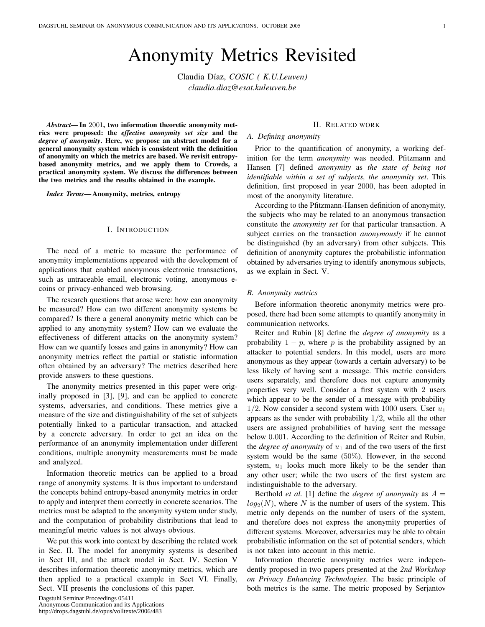# Anonymity Metrics Revisited

Claudia Díaz, *COSIC* (K.U.Leuven) *claudia.diaz@esat.kuleuven.be*

*Abstract*— In 2001, two information theoretic anonymity metrics were proposed: the *effective anonymity set size* and the *degree of anonymity*. Here, we propose an abstract model for a general anonymity system which is consistent with the definition of anonymity on which the metrics are based. We revisit entropybased anonymity metrics, and we apply them to Crowds, a practical anonymity system. We discuss the differences between the two metrics and the results obtained in the example.

*Index Terms*— Anonymity, metrics, entropy

## I. INTRODUCTION

The need of a metric to measure the performance of anonymity implementations appeared with the development of applications that enabled anonymous electronic transactions, such as untraceable email, electronic voting, anonymous ecoins or privacy-enhanced web browsing.

The research questions that arose were: how can anonymity be measured? How can two different anonymity systems be compared? Is there a general anonymity metric which can be applied to any anonymity system? How can we evaluate the effectiveness of different attacks on the anonymity system? How can we quantify losses and gains in anonymity? How can anonymity metrics reflect the partial or statistic information often obtained by an adversary? The metrics described here provide answers to these questions.

The anonymity metrics presented in this paper were originally proposed in [3], [9], and can be applied to concrete systems, adversaries, and conditions. These metrics give a measure of the size and distinguishability of the set of subjects potentially linked to a particular transaction, and attacked by a concrete adversary. In order to get an idea on the performance of an anonymity implementation under different conditions, multiple anonymity measurements must be made and analyzed.

Information theoretic metrics can be applied to a broad range of anonymity systems. It is thus important to understand the concepts behind entropy-based anonymity metrics in order to apply and interpret them correctly in concrete scenarios. The metrics must be adapted to the anonymity system under study, and the computation of probability distributions that lead to meaningful metric values is not always obvious.

We put this work into context by describing the related work in Sec. II. The model for anonymity systems is described in Sect III, and the attack model in Sect. IV. Section V describes information theoretic anonymity metrics, which are then applied to a practical example in Sect VI. Finally, Sect. VII presents the conclusions of this paper.

# II. RELATED WORK

## *A. Defining anonymity*

Prior to the quantification of anonymity, a working definition for the term *anonymity* was needed. Pfitzmann and Hansen [7] defined *anonymity* as *the state of being not identifiable within a set of subjects, the anonymity set*. This definition, first proposed in year 2000, has been adopted in most of the anonymity literature.

According to the Pfitzmann-Hansen definition of anonymity, the subjects who may be related to an anonymous transaction constitute the *anonymity set* for that particular transaction. A subject carries on the transaction *anonymously* if he cannot be distinguished (by an adversary) from other subjects. This definition of anonymity captures the probabilistic information obtained by adversaries trying to identify anonymous subjects, as we explain in Sect. V.

#### *B. Anonymity metrics*

Before information theoretic anonymity metrics were proposed, there had been some attempts to quantify anonymity in communication networks.

Reiter and Rubin [8] define the *degree of anonymity* as a probability  $1 - p$ , where p is the probability assigned by an attacker to potential senders. In this model, users are more anonymous as they appear (towards a certain adversary) to be less likely of having sent a message. This metric considers users separately, and therefore does not capture anonymity properties very well. Consider a first system with 2 users which appear to be the sender of a message with probability  $1/2$ . Now consider a second system with 1000 users. User  $u_1$ appears as the sender with probability  $1/2$ , while all the other users are assigned probabilities of having sent the message below 0.001. According to the definition of Reiter and Rubin, the *degree of anonymity* of  $u_1$  and of the two users of the first system would be the same (50%). However, in the second system,  $u_1$  looks much more likely to be the sender than any other user; while the two users of the first system are indistinguishable to the adversary.

Berthold *et al.* [1] define the *degree of anonymity* as  $A =$  $log_2(N)$ , where N is the number of users of the system. This metric only depends on the number of users of the system, and therefore does not express the anonymity properties of different systems. Moreover, adversaries may be able to obtain probabilistic information on the set of potential senders, which is not taken into account in this metric.

Information theoretic anonymity metrics were independently proposed in two papers presented at the *2nd Workshop on Privacy Enhancing Technologies*. The basic principle of both metrics is the same. The metric proposed by Serjantov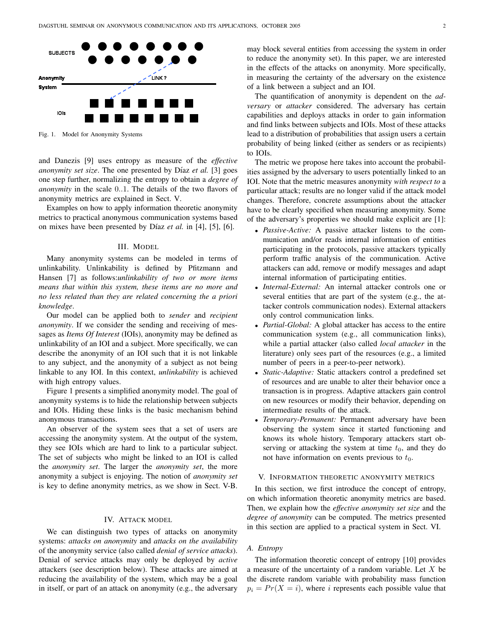

Fig. 1. Model for Anonymity Systems

and Danezis [9] uses entropy as measure of the *effective anonymity set size*. The one presented by Díaz *et al.* [3] goes one step further, normalizing the entropy to obtain a *degree of anonymity* in the scale 0..1. The details of the two flavors of anonymity metrics are explained in Sect. V.

Examples on how to apply information theoretic anonymity metrics to practical anonymous communication systems based on mixes have been presented by Díaz *et al.* in [4], [5], [6].

## III. MODEL

Many anonymity systems can be modeled in terms of unlinkability. Unlinkability is defined by Pfitzmann and Hansen [7] as follows:*unlinkability of two or more items means that within this system, these items are no more and no less related than they are related concerning the a priori knowledge*.

Our model can be applied both to *sender* and *recipient anonymity*. If we consider the sending and receiving of messages as *Items Of Interest* (IOIs), anonymity may be defined as unlinkability of an IOI and a subject. More specifically, we can describe the anonymity of an IOI such that it is not linkable to any subject, and the anonymity of a subject as not being linkable to any IOI. In this context, *unlinkability* is achieved with high entropy values.

Figure 1 presents a simplified anonymity model. The goal of anonymity systems is to hide the relationship between subjects and IOIs. Hiding these links is the basic mechanism behind anonymous transactions.

An observer of the system sees that a set of users are accessing the anonymity system. At the output of the system, they see IOIs which are hard to link to a particular subject. The set of subjects who might be linked to an IOI is called the *anonymity set*. The larger the *anonymity set*, the more anonymity a subject is enjoying. The notion of *anonymity set* is key to define anonymity metrics, as we show in Sect. V-B.

#### IV. ATTACK MODEL

We can distinguish two types of attacks on anonymity systems: *attacks on anonymity* and *attacks on the availability* of the anonymity service (also called *denial of service attacks*). Denial of service attacks may only be deployed by *active* attackers (see description below). These attacks are aimed at reducing the availability of the system, which may be a goal in itself, or part of an attack on anonymity (e.g., the adversary may block several entities from accessing the system in order to reduce the anonymity set). In this paper, we are interested in the effects of the attacks on anonymity. More specifically, in measuring the certainty of the adversary on the existence of a link between a subject and an IOI.

The quantification of anonymity is dependent on the *adversary* or *attacker* considered. The adversary has certain capabilities and deploys attacks in order to gain information and find links between subjects and IOIs. Most of these attacks lead to a distribution of probabilities that assign users a certain probability of being linked (either as senders or as recipients) to IOIs.

The metric we propose here takes into account the probabilities assigned by the adversary to users potentially linked to an IOI. Note that the metric measures anonymity *with respect to* a particular attack; results are no longer valid if the attack model changes. Therefore, concrete assumptions about the attacker have to be clearly specified when measuring anonymity. Some of the adversary's properties we should make explicit are [1]:

- *Passive-Active:* A passive attacker listens to the communication and/or reads internal information of entities participating in the protocols, passive attackers typically perform traffic analysis of the communication. Active attackers can add, remove or modify messages and adapt internal information of participating entities.
- *Internal-External:* An internal attacker controls one or several entities that are part of the system (e.g., the attacker controls communication nodes). External attackers only control communication links.
- *Partial-Global:* A global attacker has access to the entire communication system (e.g., all communication links), while a partial attacker (also called *local attacker* in the literature) only sees part of the resources (e.g., a limited number of peers in a peer-to-peer network).
- *Static-Adaptive:* Static attackers control a predefined set of resources and are unable to alter their behavior once a transaction is in progress. Adaptive attackers gain control on new resources or modify their behavior, depending on intermediate results of the attack.
- *Temporary-Permanent:* Permanent adversary have been observing the system since it started functioning and knows its whole history. Temporary attackers start observing or attacking the system at time  $t_0$ , and they do not have information on events previous to  $t_0$ .

## V. INFORMATION THEORETIC ANONYMITY METRICS

In this section, we first introduce the concept of entropy, on which information theoretic anonymity metrics are based. Then, we explain how the *effective anonymity set size* and the *degree of anonymity* can be computed. The metrics presented in this section are applied to a practical system in Sect. VI.

# *A. Entropy*

The information theoretic concept of entropy [10] provides a measure of the uncertainty of a random variable. Let  $X$  be the discrete random variable with probability mass function  $p_i = Pr(X = i)$ , where i represents each possible value that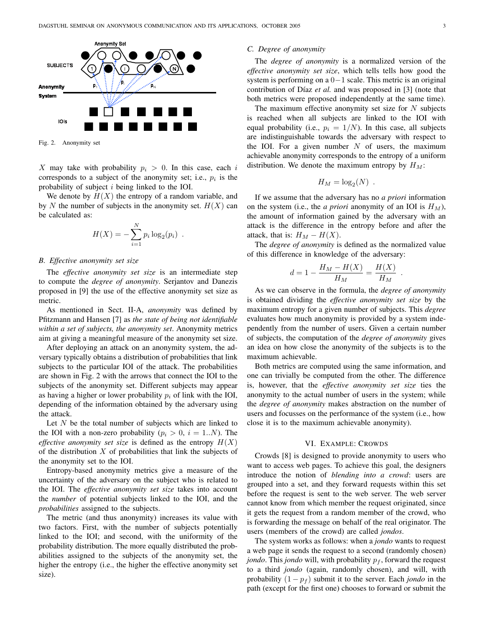

Fig. 2. Anonymity set

X may take with probability  $p_i > 0$ . In this case, each i corresponds to a subject of the anonymity set; i.e.,  $p_i$  is the probability of subject i being linked to the IOI.

We denote by  $H(X)$  the entropy of a random variable, and by N the number of subjects in the anonymity set.  $H(X)$  can be calculated as:

$$
H(X) = -\sum_{i=1}^{N} p_i \log_2(p_i) .
$$

#### *B. Effective anonymity set size*

The *effective anonymity set size* is an intermediate step to compute the *degree of anonymity*. Serjantov and Danezis proposed in [9] the use of the effective anonymity set size as metric.

As mentioned in Sect. II-A, *anonymity* was defined by Pfitzmann and Hansen [7] as *the state of being not identifiable within a set of subjects, the anonymity set*. Anonymity metrics aim at giving a meaningful measure of the anonymity set size.

After deploying an attack on an anonymity system, the adversary typically obtains a distribution of probabilities that link subjects to the particular IOI of the attack. The probabilities are shown in Fig. 2 with the arrows that connect the IOI to the subjects of the anonymity set. Different subjects may appear as having a higher or lower probability  $p_i$  of link with the IOI, depending of the information obtained by the adversary using the attack.

Let  $N$  be the total number of subjects which are linked to the IOI with a non-zero probability  $(p_i > 0, i = 1..N)$ . The *effective anonymity set size* is defined as the entropy  $H(X)$ of the distribution  $X$  of probabilities that link the subjects of the anonymity set to the IOI.

Entropy-based anonymity metrics give a measure of the uncertainty of the adversary on the subject who is related to the IOI. The *effective anonymity set size* takes into account the *number* of potential subjects linked to the IOI, and the *probabilities* assigned to the subjects.

The metric (and thus anonymity) increases its value with two factors. First, with the number of subjects potentially linked to the IOI; and second, with the uniformity of the probability distribution. The more equally distributed the probabilities assigned to the subjects of the anonymity set, the higher the entropy (i.e., the higher the effective anonymity set size).

#### *C. Degree of anonymity*

The *degree of anonymity* is a normalized version of the *effective anonymity set size*, which tells tells how good the system is performing on a 0−1 scale. This metric is an original contribution of Díaz *et al.* and was proposed in [3] (note that both metrics were proposed independently at the same time).

The maximum effective anonymity set size for  $N$  subjects is reached when all subjects are linked to the IOI with equal probability (i.e.,  $p_i = 1/N$ ). In this case, all subjects are indistinguishable towards the adversary with respect to the IOI. For a given number  $N$  of users, the maximum achievable anonymity corresponds to the entropy of a uniform distribution. We denote the maximum entropy by  $H_M$ :

$$
H_M = \log_2(N) .
$$

If we assume that the adversary has no *a priori* information on the system (i.e., the *a priori* anonymity of an IOI is  $H_M$ ), the amount of information gained by the adversary with an attack is the difference in the entropy before and after the attack, that is:  $H_M - H(X)$ .

The *degree of anonymity* is defined as the normalized value of this difference in knowledge of the adversary:

$$
d = 1 - \frac{H_M - H(X)}{H_M} = \frac{H(X)}{H_M}
$$

.

As we can observe in the formula, the *degree of anonymity* is obtained dividing the *effective anonymity set size* by the maximum entropy for a given number of subjects. This *degree* evaluates how much anonymity is provided by a system independently from the number of users. Given a certain number of subjects, the computation of the *degree of anonymity* gives an idea on how close the anonymity of the subjects is to the maximum achievable.

Both metrics are computed using the same information, and one can trivially be computed from the other. The difference is, however, that the *effective anonymity set size* ties the anonymity to the actual number of users in the system; while the *degree of anonymity* makes abstraction on the number of users and focusses on the performance of the system (i.e., how close it is to the maximum achievable anonymity).

#### VI. EXAMPLE: CROWDS

Crowds [8] is designed to provide anonymity to users who want to access web pages. To achieve this goal, the designers introduce the notion of *blending into a crowd*: users are grouped into a set, and they forward requests within this set before the request is sent to the web server. The web server cannot know from which member the request originated, since it gets the request from a random member of the crowd, who is forwarding the message on behalf of the real originator. The users (members of the crowd) are called *jondos*.

The system works as follows: when a *jondo* wants to request a web page it sends the request to a second (randomly chosen) *jondo*. This *jondo* will, with probability  $p_f$ , forward the request to a third *jondo* (again, randomly chosen), and will, with probability  $(1 - p_f)$  submit it to the server. Each *jondo* in the path (except for the first one) chooses to forward or submit the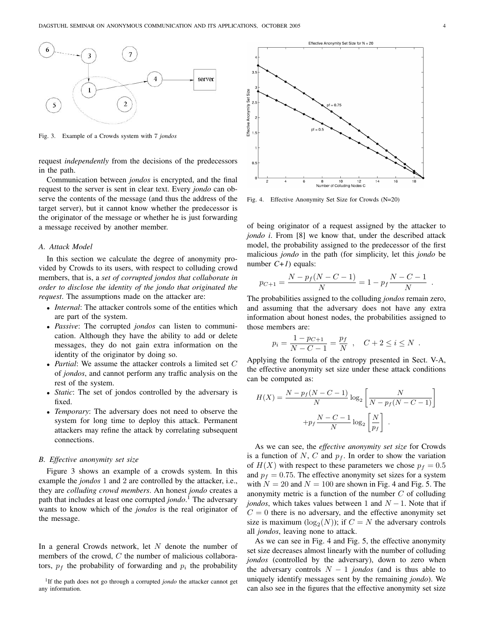

Fig. 3. Example of a Crowds system with 7 *jondos*

request *independently* from the decisions of the predecessors in the path.

Communication between *jondos* is encrypted, and the final request to the server is sent in clear text. Every *jondo* can observe the contents of the message (and thus the address of the target server), but it cannot know whether the predecessor is the originator of the message or whether he is just forwarding a message received by another member.

## *A. Attack Model*

In this section we calculate the degree of anonymity provided by Crowds to its users, with respect to colluding crowd members, that is, a *set of corrupted jondos that collaborate in order to disclose the identity of the jondo that originated the request*. The assumptions made on the attacker are:

- *Internal*: The attacker controls some of the entities which are part of the system.
- *Passive*: The corrupted *jondos* can listen to communication. Although they have the ability to add or delete messages, they do not gain extra information on the identity of the originator by doing so.
- *Partial*: We assume the attacker controls a limited set C of *jondos*, and cannot perform any traffic analysis on the rest of the system.
- *Static*: The set of jondos controlled by the adversary is fixed.
- *Temporary*: The adversary does not need to observe the system for long time to deploy this attack. Permanent attackers may refine the attack by correlating subsequent connections.

#### *B. Effective anonymity set size*

Figure 3 shows an example of a crowds system. In this example the *jondos* 1 and 2 are controlled by the attacker, i.e., they are *colluding crowd members*. An honest *jondo* creates a path that includes at least one corrupted *jondo*. <sup>1</sup> The adversary wants to know which of the *jondos* is the real originator of the message.

In a general Crowds network, let  $N$  denote the number of members of the crowd, C the number of malicious collaborators,  $p_f$  the probability of forwarding and  $p_i$  the probability



Fig. 4. Effective Anonymity Set Size for Crowds (N=20)

of being originator of a request assigned by the attacker to *jondo i*. From [8] we know that, under the described attack model, the probability assigned to the predecessor of the first malicious *jondo* in the path (for simplicity, let this *jondo* be number *C+1*) equals:

$$
p_{C+1} = \frac{N - p_f(N - C - 1)}{N} = 1 - p_f \frac{N - C - 1}{N}
$$

The probabilities assigned to the colluding *jondos* remain zero, and assuming that the adversary does not have any extra information about honest nodes, the probabilities assigned to those members are:

$$
p_i = \frac{1 - p_{C+1}}{N - C - 1} = \frac{p_f}{N} , \quad C + 2 \le i \le N .
$$

Applying the formula of the entropy presented in Sect. V-A, the effective anonymity set size under these attack conditions can be computed as:

$$
H(X) = \frac{N - p_f(N - C - 1)}{N} \log_2 \left[ \frac{N}{N - p_f(N - C - 1)} \right]
$$

$$
+ p_f \frac{N - C - 1}{N} \log_2 \left[ \frac{N}{p_f} \right].
$$

As we can see, the *effective anonymity set size* for Crowds is a function of N, C and  $p_f$ . In order to show the variation of  $H(X)$  with respect to these parameters we chose  $p_f = 0.5$ and  $p_f = 0.75$ . The effective anonymity set sizes for a system with  $N = 20$  and  $N = 100$  are shown in Fig. 4 and Fig. 5. The anonymity metric is a function of the number  $C$  of colluding *jondos*, which takes values between 1 and  $N - 1$ . Note that if  $C = 0$  there is no adversary, and the effective anonymity set size is maximum  $(\log_2(N))$ ; if  $C = N$  the adversary controls all *jondos*, leaving none to attack.

As we can see in Fig. 4 and Fig. 5, the effective anonymity set size decreases almost linearly with the number of colluding *jondos* (controlled by the adversary), down to zero when the adversary controls  $N - 1$  *jondos* (and is thus able to uniquely identify messages sent by the remaining *jondo*). We can also see in the figures that the effective anonymity set size

.

<sup>&</sup>lt;sup>1</sup>If the path does not go through a corrupted *jondo* the attacker cannot get any information.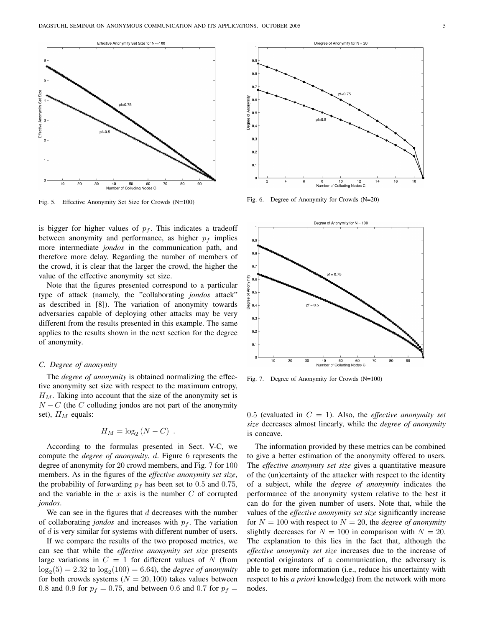

Fig. 5. Effective Anonymity Set Size for Crowds (N=100)

is bigger for higher values of  $p_f$ . This indicates a tradeoff between anonymity and performance, as higher  $p_f$  implies more intermediate *jondos* in the communication path, and therefore more delay. Regarding the number of members of the crowd, it is clear that the larger the crowd, the higher the value of the effective anonymity set size.

Note that the figures presented correspond to a particular type of attack (namely, the "collaborating *jondos* attack" as described in [8]). The variation of anonymity towards adversaries capable of deploying other attacks may be very different from the results presented in this example. The same applies to the results shown in the next section for the degree of anonymity.

## *C. Degree of anonymity*

The *degree of anonymity* is obtained normalizing the effective anonymity set size with respect to the maximum entropy,  $H_M$ . Taking into account that the size of the anonymity set is  $N - C$  (the C colluding jondos are not part of the anonymity set),  $H_M$  equals:

$$
H_M = \log_2 (N - C) .
$$

According to the formulas presented in Sect. V-C, we compute the *degree of anonymity*, d. Figure 6 represents the degree of anonymity for 20 crowd members, and Fig. 7 for 100 members. As in the figures of the *effective anonymity set size*, the probability of forwarding  $p_f$  has been set to 0.5 and 0.75, and the variable in the  $x$  axis is the number  $C$  of corrupted *jondos*.

We can see in the figures that  $d$  decreases with the number of collaborating *jondos* and increases with  $p_f$ . The variation of d is very similar for systems with different number of users.

If we compare the results of the two proposed metrics, we can see that while the *effective anonymity set size* presents large variations in  $C = 1$  for different values of N (from  $\log_2(5) = 2.32$  to  $\log_2(100) = 6.64$ ), the *degree of anonymity* for both crowds systems ( $N = 20, 100$ ) takes values between 0.8 and 0.9 for  $p_f = 0.75$ , and between 0.6 and 0.7 for  $p_f =$ 



Fig. 6. Degree of Anonymity for Crowds (N=20)



Fig. 7. Degree of Anonymity for Crowds (N=100)

0.5 (evaluated in  $C = 1$ ). Also, the *effective anonymity set size* decreases almost linearly, while the *degree of anonymity* is concave.

The information provided by these metrics can be combined to give a better estimation of the anonymity offered to users. The *effective anonymity set size* gives a quantitative measure of the (un)certainty of the attacker with respect to the identity of a subject, while the *degree of anonymity* indicates the performance of the anonymity system relative to the best it can do for the given number of users. Note that, while the values of the *effective anonymity set size* significantly increase for  $N = 100$  with respect to  $N = 20$ , the *degree of anonymity* slightly decreases for  $N = 100$  in comparison with  $N = 20$ . The explanation to this lies in the fact that, although the *effective anonymity set size* increases due to the increase of potential originators of a communication, the adversary is able to get more information (i.e., reduce his uncertainty with respect to his *a priori* knowledge) from the network with more nodes.